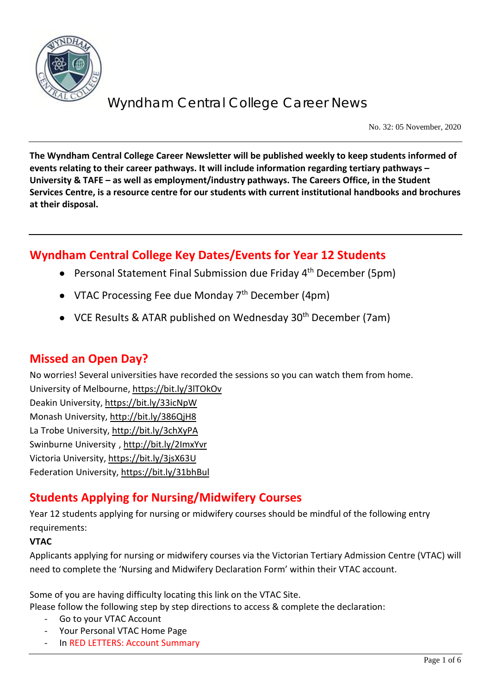

No. 32: 05 November, 2020

**The Wyndham Central College Career Newsletter will be published weekly to keep students informed of events relating to their career pathways. It will include information regarding tertiary pathways – University & TAFE – as well as employment/industry pathways. The Careers Office, in the Student Services Centre, is a resource centre for our students with current institutional handbooks and brochures at their disposal.**

## **Wyndham Central College Key Dates/Events for Year 12 Students**

- Personal Statement Final Submission due Friday 4<sup>th</sup> December (5pm)
- VTAC Processing Fee due Monday  $7<sup>th</sup>$  December (4pm)
- VCE Results & ATAR published on Wednesday 30<sup>th</sup> December (7am)

## **Missed an Open Day?**

No worries! Several universities have recorded the sessions so you can watch them from home.

University of Melbourne[, https://bit.ly/3lTOkOv](https://bit.ly/3lTOkOv) Deakin University,<https://bit.ly/33icNpW> Monash University,<http://bit.ly/386QjH8> La Trobe University,<http://bit.ly/3chXyPA> Swinburne University ,<http://bit.ly/2ImxYvr> Victoria University,<https://bit.ly/3jsX63U> Federation University[, https://bit.ly/31bhBul](https://bit.ly/31bhBul)

# **Students Applying for Nursing/Midwifery Courses**

Year 12 students applying for nursing or midwifery courses should be mindful of the following entry requirements:

### **VTAC**

Applicants applying for nursing or midwifery courses via the Victorian Tertiary Admission Centre (VTAC) will need to complete the 'Nursing and Midwifery Declaration Form' within their VTAC account.

Some of you are having difficulty locating this link on the VTAC Site.

Please follow the following step by step directions to access & complete the declaration:

- Go to your VTAC Account
- Your Personal VTAC Home Page
- In RED LETTERS: Account Summary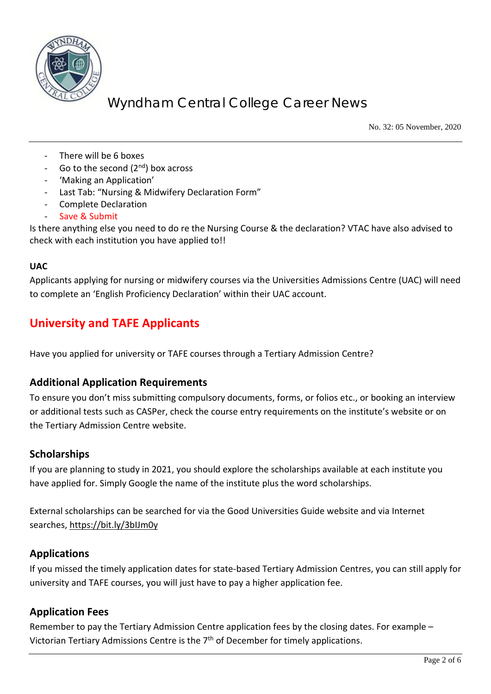

No. 32: 05 November, 2020

- There will be 6 boxes
- Go to the second  $(2^{nd})$  box across
- 'Making an Application'
- Last Tab: "Nursing & Midwifery Declaration Form"
- Complete Declaration
- Save & Submit

Is there anything else you need to do re the Nursing Course & the declaration? VTAC have also advised to check with each institution you have applied to!!

#### **UAC**

Applicants applying for nursing or midwifery courses via the Universities Admissions Centre (UAC) will need to complete an 'English Proficiency Declaration' within their UAC account.

## **University and TAFE Applicants**

Have you applied for university or TAFE courses through a Tertiary Admission Centre?

### **Additional Application Requirements**

To ensure you don't miss submitting compulsory documents, forms, or folios etc., or booking an interview or additional tests such as CASPer, check the course entry requirements on the institute's website or on the Tertiary Admission Centre website.

#### **Scholarships**

If you are planning to study in 2021, you should explore the scholarships available at each institute you have applied for. Simply Google the name of the institute plus the word scholarships.

External scholarships can be searched for via the Good Universities Guide website and via Internet searches,<https://bit.ly/3bIJm0y>

### **Applications**

If you missed the timely application dates for state-based Tertiary Admission Centres, you can still apply for university and TAFE courses, you will just have to pay a higher application fee.

#### **Application Fees**

Remember to pay the Tertiary Admission Centre application fees by the closing dates. For example – Victorian Tertiary Admissions Centre is the 7<sup>th</sup> of December for timely applications.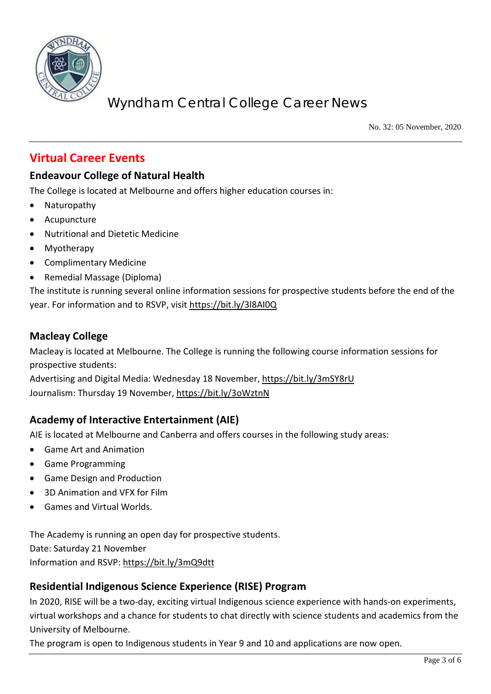

No. 32: 05 November, 2020

## **Virtual Career Events**

## **Endeavour College of Natural Health**

The College is located at Melbourne and offers higher education courses in:

- Naturopathy
- Acupuncture
- Nutritional and Dietetic Medicine
- Myotherapy
- Complimentary Medicine
- Remedial Massage (Diploma)

The institute is running several online information sessions for prospective students before the end of the year. For information and to RSVP, visi[t https://bit.ly/3l8AI0Q](https://bit.ly/3l8AI0Q)

#### **Macleay College**

Macleay is located at Melbourne. The College is running the following course information sessions for prospective students:

Advertising and Digital Media: Wednesday 18 November[, https://bit.ly/3mSY8rU](https://bit.ly/3mSY8rU) Journalism: Thursday 19 November,<https://bit.ly/3oWztnN>

### **Academy of Interactive Entertainment (AIE)**

AIE is located at Melbourne and Canberra and offers courses in the following study areas:

- Game Art and Animation
- Game Programming
- Game Design and Production
- 3D Animation and VFX for Film
- Games and Virtual Worlds.

The Academy is running an open day for prospective students. Date: Saturday 21 November Information and RSVP:<https://bit.ly/3mQ9dtt>

### **Residential Indigenous Science Experience (RISE) Program**

In 2020, RISE will be a two-day, exciting virtual Indigenous science experience with hands-on experiments, virtual workshops and a chance for students to chat directly with science students and academics from the University of Melbourne.

The program is open to Indigenous students in Year 9 and 10 and applications are now open.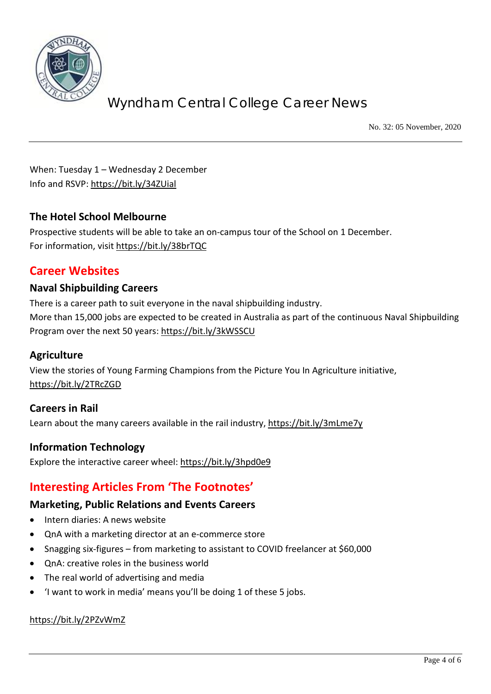

No. 32: 05 November, 2020

When: Tuesday 1 – Wednesday 2 December Info and RSVP:<https://bit.ly/34ZUial>

### **The Hotel School Melbourne**

Prospective students will be able to take an on-campus tour of the School on 1 December. For information, visit<https://bit.ly/38brTQC>

## **Career Websites**

### **Naval Shipbuilding Careers**

There is a career path to suit everyone in the naval shipbuilding industry. More than 15,000 jobs are expected to be created in Australia as part of the continuous Naval Shipbuilding Program over the next 50 years:<https://bit.ly/3kWSSCU>

### **Agriculture**

View the stories of Young Farming Champions from the Picture You In Agriculture initiative, <https://bit.ly/2TRcZGD>

### **Careers in Rail**

Learn about the many careers available in the rail industry,<https://bit.ly/3mLme7y>

### **Information Technology**

Explore the interactive career wheel:<https://bit.ly/3hpd0e9>

## **Interesting Articles From 'The Footnotes'**

#### **Marketing, Public Relations and Events Careers**

- Intern diaries: A news website
- QnA with a marketing director at an e-commerce store
- Snagging six-figures from marketing to assistant to COVID freelancer at \$60,000
- QnA: creative roles in the business world
- The real world of advertising and media
- 'I want to work in media' means you'll be doing 1 of these 5 jobs.

#### <https://bit.ly/2PZvWmZ>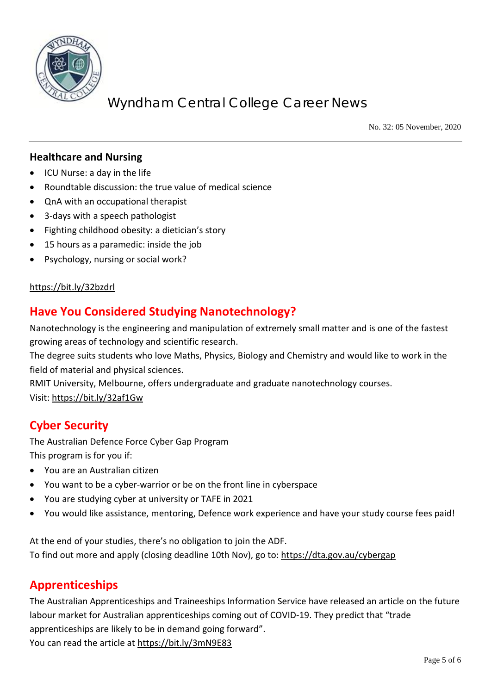

No. 32: 05 November, 2020

### **Healthcare and Nursing**

- ICU Nurse: a day in the life
- Roundtable discussion: the true value of medical science
- QnA with an occupational therapist
- 3-days with a speech pathologist
- Fighting childhood obesity: a dietician's story
- 15 hours as a paramedic: inside the job
- Psychology, nursing or social work?

#### <https://bit.ly/32bzdrl>

## **Have You Considered Studying Nanotechnology?**

Nanotechnology is the engineering and manipulation of extremely small matter and is one of the fastest growing areas of technology and scientific research.

The degree suits students who love Maths, Physics, Biology and Chemistry and would like to work in the field of material and physical sciences.

RMIT University, Melbourne, offers undergraduate and graduate nanotechnology courses. Visit:<https://bit.ly/32af1Gw>

## **Cyber Security**

The Australian Defence Force Cyber Gap Program This program is for you if:

- You are an Australian citizen
- You want to be a cyber-warrior or be on the front line in cyberspace
- You are studying cyber at university or TAFE in 2021
- You would like assistance, mentoring, Defence work experience and have your study course fees paid!

At the end of your studies, there's no obligation to join the ADF. To find out more and apply (closing deadline 10th Nov), go to: [https://dta.gov.au/cybergap](https://protect-au.mimecast.com/s/OtO6CyojglUylOphNcgDo?domain=vision6.com.au)

## **Apprenticeships**

The Australian Apprenticeships and Traineeships Information Service have released an article on the future labour market for Australian apprenticeships coming out of COVID-19. They predict that "trade apprenticeships are likely to be in demand going forward". You can read the article at<https://bit.ly/3mN9E83>